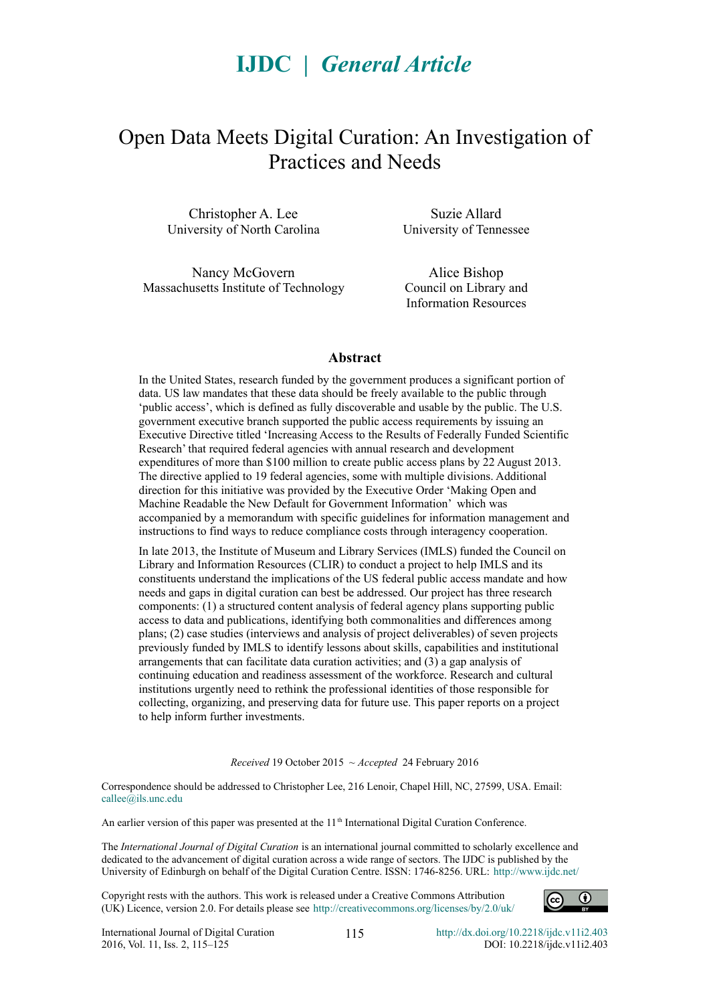# **IJDC** *| General Article*

# Open Data Meets Digital Curation: An Investigation of Practices and Needs

Christopher A. Lee University of North Carolina

Nancy McGovern Massachusetts Institute of Technology

Suzie Allard University of Tennessee

Alice Bishop Council on Library and Information Resources

#### **Abstract**

In the United States, research funded by the government produces a significant portion of data. US law mandates that these data should be freely available to the public through 'public access', which is defined as fully discoverable and usable by the public. The U.S. government executive branch supported the public access requirements by issuing an Executive Directive titled 'Increasing Access to the Results of Federally Funded Scientific Research' that required federal agencies with annual research and development expenditures of more than \$100 million to create public access plans by 22 August 2013. The directive applied to 19 federal agencies, some with multiple divisions. Additional direction for this initiative was provided by the Executive Order 'Making Open and Machine Readable the New Default for Government Information' which was accompanied by a memorandum with specific guidelines for information management and instructions to find ways to reduce compliance costs through interagency cooperation.

In late 2013, the Institute of Museum and Library Services (IMLS) funded the Council on Library and Information Resources (CLIR) to conduct a project to help IMLS and its constituents understand the implications of the US federal public access mandate and how needs and gaps in digital curation can best be addressed. Our project has three research components: (1) a structured content analysis of federal agency plans supporting public access to data and publications, identifying both commonalities and differences among plans; (2) case studies (interviews and analysis of project deliverables) of seven projects previously funded by IMLS to identify lessons about skills, capabilities and institutional arrangements that can facilitate data curation activities; and (3) a gap analysis of continuing education and readiness assessment of the workforce. Research and cultural institutions urgently need to rethink the professional identities of those responsible for collecting, organizing, and preserving data for future use. This paper reports on a project to help inform further investments.

*Received* 19 October 2015 ~ *Accepted* 24 February 2016

Correspondence should be addressed to Christopher Lee, 216 Lenoir, Chapel Hill, NC, 27599, USA. Email: [callee@ils.unc.edu](mailto:callee@ils.unc.edu)

An earlier version of this paper was presented at the 11<sup>th</sup> International Digital Curation Conference.

The *International Journal of Digital Curation* is an international journal committed to scholarly excellence and dedicated to the advancement of digital curation across a wide range of sectors. The IJDC is published by the University of Edinburgh on behalf of the Digital Curation Centre. ISSN: 1746-8256. URL:<http://www.ijdc.net/>

Copyright rests with the authors. This work is released under a Creative Commons Attribution (UK) Licence, version 2.0. For details please see<http://creativecommons.org/licenses/by/2.0/uk/>

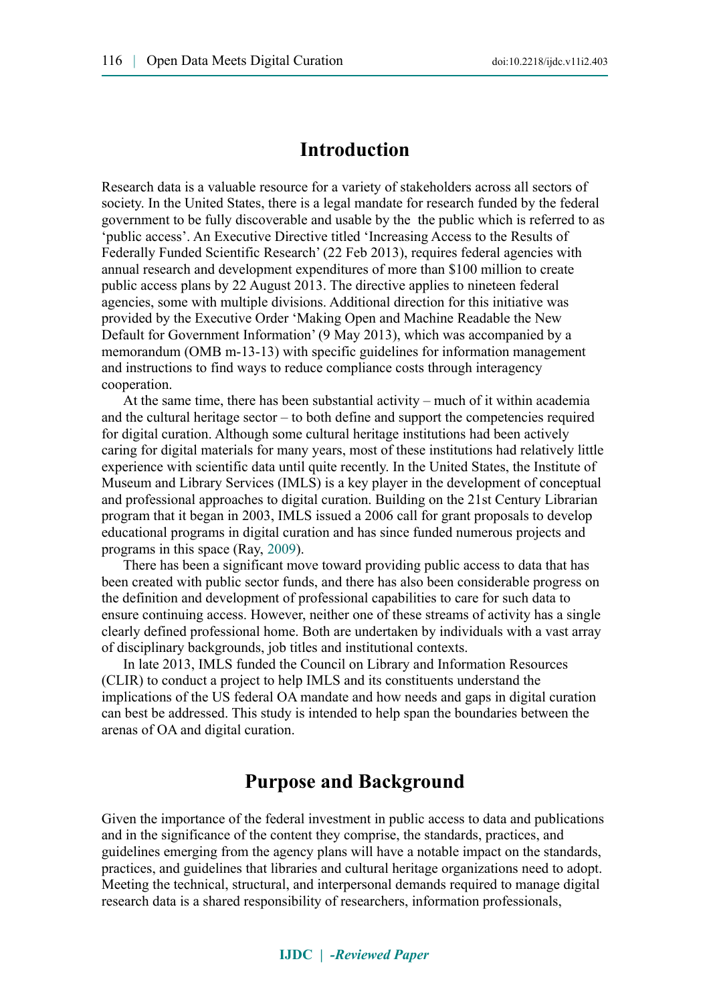## **Introduction**

Research data is a valuable resource for a variety of stakeholders across all sectors of society. In the United States, there is a legal mandate for research funded by the federal government to be fully discoverable and usable by the the public which is referred to as 'public access'. An Executive Directive titled 'Increasing Access to the Results of Federally Funded Scientific Research' (22 Feb 2013), requires federal agencies with annual research and development expenditures of more than \$100 million to create public access plans by 22 August 2013. The directive applies to nineteen federal agencies, some with multiple divisions. Additional direction for this initiative was provided by the Executive Order 'Making Open and Machine Readable the New Default for Government Information' (9 May 2013), which was accompanied by a memorandum (OMB m-13-13) with specific guidelines for information management and instructions to find ways to reduce compliance costs through interagency cooperation.

At the same time, there has been substantial activity – much of it within academia and the cultural heritage sector – to both define and support the competencies required for digital curation. Although some cultural heritage institutions had been actively caring for digital materials for many years, most of these institutions had relatively little experience with scientific data until quite recently. In the United States, the Institute of Museum and Library Services (IMLS) is a key player in the development of conceptual and professional approaches to digital curation. Building on the 21st Century Librarian program that it began in 2003, IMLS issued a 2006 call for grant proposals to develop educational programs in digital curation and has since funded numerous projects and programs in this space (Ray, [2009\)](#page-10-0).

There has been a significant move toward providing public access to data that has been created with public sector funds, and there has also been considerable progress on the definition and development of professional capabilities to care for such data to ensure continuing access. However, neither one of these streams of activity has a single clearly defined professional home. Both are undertaken by individuals with a vast array of disciplinary backgrounds, job titles and institutional contexts.

In late 2013, IMLS funded the Council on Library and Information Resources (CLIR) to conduct a project to help IMLS and its constituents understand the implications of the US federal OA mandate and how needs and gaps in digital curation can best be addressed. This study is intended to help span the boundaries between the arenas of OA and digital curation.

## **Purpose and Background**

Given the importance of the federal investment in public access to data and publications and in the significance of the content they comprise, the standards, practices, and guidelines emerging from the agency plans will have a notable impact on the standards, practices, and guidelines that libraries and cultural heritage organizations need to adopt. Meeting the technical, structural, and interpersonal demands required to manage digital research data is a shared responsibility of researchers, information professionals,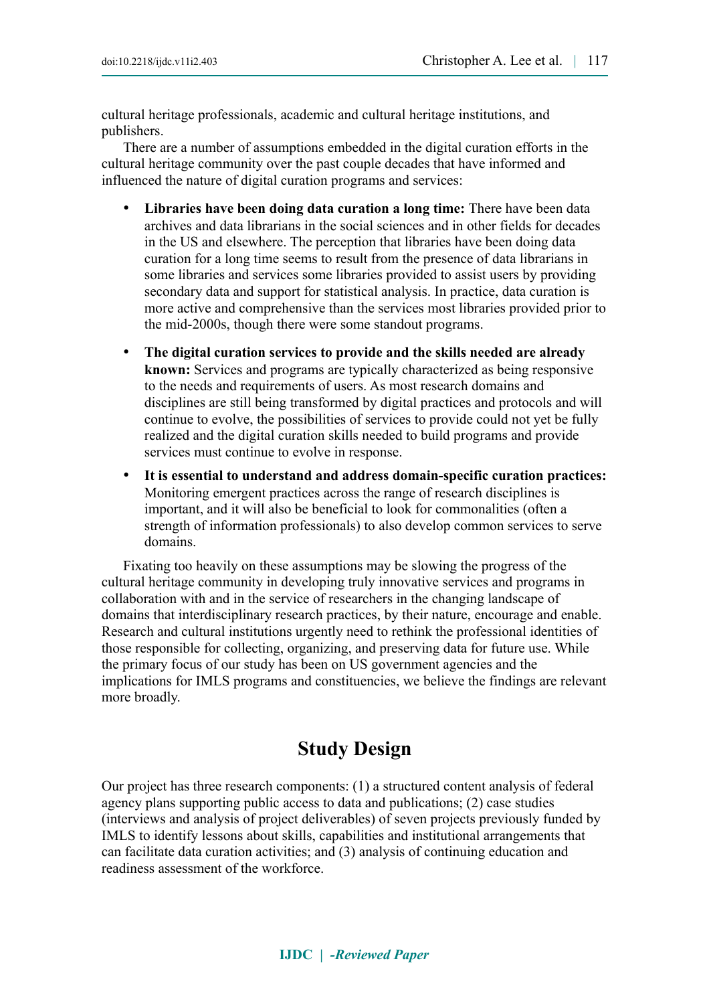cultural heritage professionals, academic and cultural heritage institutions, and publishers.

There are a number of assumptions embedded in the digital curation efforts in the cultural heritage community over the past couple decades that have informed and influenced the nature of digital curation programs and services:

- **Libraries have been doing data curation a long time:** There have been data archives and data librarians in the social sciences and in other fields for decades in the US and elsewhere. The perception that libraries have been doing data curation for a long time seems to result from the presence of data librarians in some libraries and services some libraries provided to assist users by providing secondary data and support for statistical analysis. In practice, data curation is more active and comprehensive than the services most libraries provided prior to the mid-2000s, though there were some standout programs.
- **The digital curation services to provide and the skills needed are already known:** Services and programs are typically characterized as being responsive to the needs and requirements of users. As most research domains and disciplines are still being transformed by digital practices and protocols and will continue to evolve, the possibilities of services to provide could not yet be fully realized and the digital curation skills needed to build programs and provide services must continue to evolve in response.
- **It is essential to understand and address domain-specific curation practices:** Monitoring emergent practices across the range of research disciplines is important, and it will also be beneficial to look for commonalities (often a strength of information professionals) to also develop common services to serve domains.

Fixating too heavily on these assumptions may be slowing the progress of the cultural heritage community in developing truly innovative services and programs in collaboration with and in the service of researchers in the changing landscape of domains that interdisciplinary research practices, by their nature, encourage and enable. Research and cultural institutions urgently need to rethink the professional identities of those responsible for collecting, organizing, and preserving data for future use. While the primary focus of our study has been on US government agencies and the implications for IMLS programs and constituencies, we believe the findings are relevant more broadly.

# **Study Design**

Our project has three research components: (1) a structured content analysis of federal agency plans supporting public access to data and publications; (2) case studies (interviews and analysis of project deliverables) of seven projects previously funded by IMLS to identify lessons about skills, capabilities and institutional arrangements that can facilitate data curation activities; and (3) analysis of continuing education and readiness assessment of the workforce.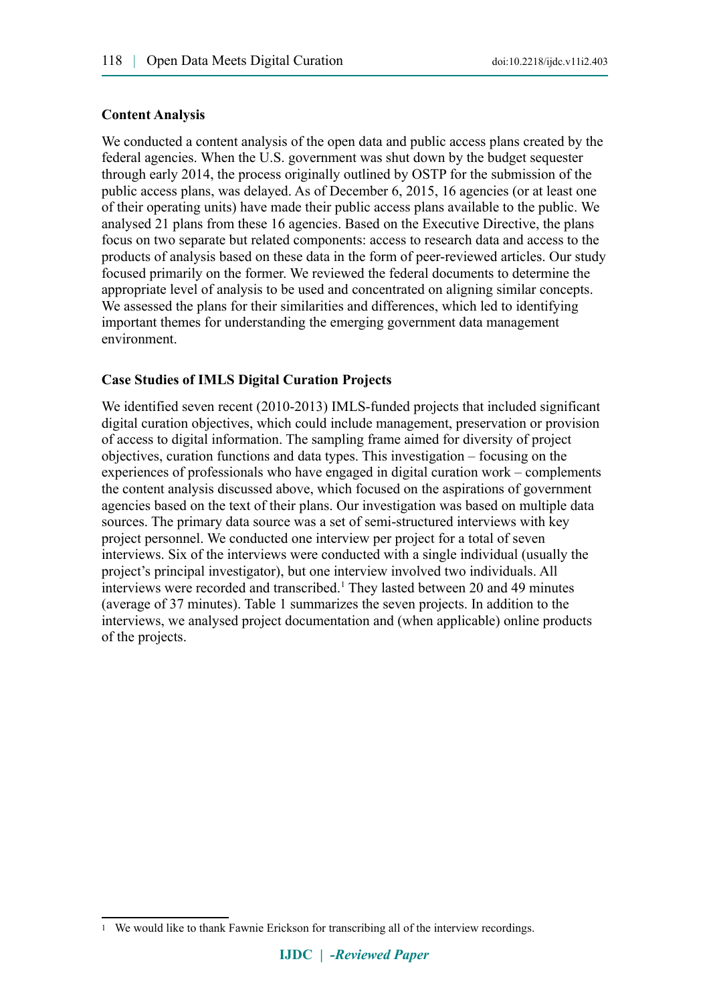### **Content Analysis**

We conducted a content analysis of the open data and public access plans created by the federal agencies. When the U.S. government was shut down by the budget sequester through early 2014, the process originally outlined by OSTP for the submission of the public access plans, was delayed. As of December 6, 2015, 16 agencies (or at least one of their operating units) have made their public access plans available to the public. We analysed 21 plans from these 16 agencies. Based on the Executive Directive, the plans focus on two separate but related components: access to research data and access to the products of analysis based on these data in the form of peer-reviewed articles. Our study focused primarily on the former. We reviewed the federal documents to determine the appropriate level of analysis to be used and concentrated on aligning similar concepts. We assessed the plans for their similarities and differences, which led to identifying important themes for understanding the emerging government data management environment.

### **Case Studies of IMLS Digital Curation Projects**

We identified seven recent (2010-2013) IMLS-funded projects that included significant digital curation objectives, which could include management, preservation or provision of access to digital information. The sampling frame aimed for diversity of project objectives, curation functions and data types. This investigation – focusing on the experiences of professionals who have engaged in digital curation work – complements the content analysis discussed above, which focused on the aspirations of government agencies based on the text of their plans. Our investigation was based on multiple data sources. The primary data source was a set of semi-structured interviews with key project personnel. We conducted one interview per project for a total of seven interviews. Six of the interviews were conducted with a single individual (usually the project's principal investigator), but one interview involved two individuals. All interviews were recorded and transcribed.<sup>[1](#page-3-0)</sup> They lasted between 20 and 49 minutes (average of 37 minutes). Table 1 summarizes the seven projects. In addition to the interviews, we analysed project documentation and (when applicable) online products of the projects.

<span id="page-3-0"></span><sup>1</sup> We would like to thank Fawnie Erickson for transcribing all of the interview recordings.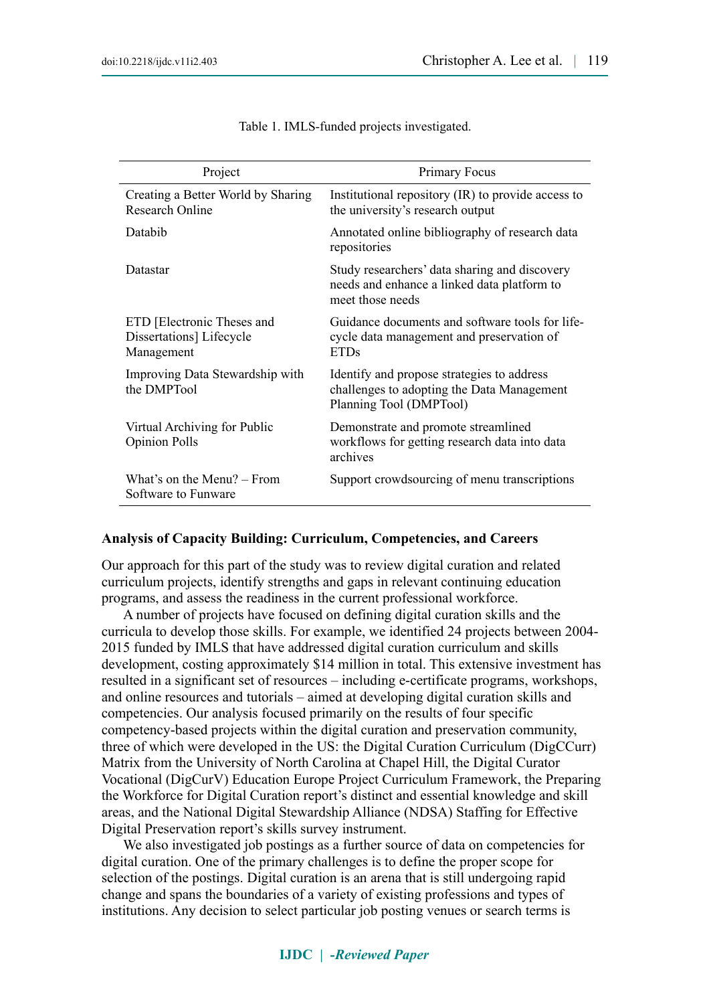| Project                                                              | Primary Focus                                                                                                       |
|----------------------------------------------------------------------|---------------------------------------------------------------------------------------------------------------------|
| Creating a Better World by Sharing<br><b>Research Online</b>         | Institutional repository (IR) to provide access to<br>the university's research output                              |
| Databib                                                              | Annotated online bibliography of research data<br>repositories                                                      |
| Datastar                                                             | Study researchers' data sharing and discovery<br>needs and enhance a linked data platform to<br>meet those needs    |
| ETD [Electronic Theses and<br>Dissertations] Lifecycle<br>Management | Guidance documents and software tools for life-<br>cycle data management and preservation of<br><b>ETDs</b>         |
| Improving Data Stewardship with<br>the DMPTool                       | Identify and propose strategies to address<br>challenges to adopting the Data Management<br>Planning Tool (DMPTool) |
| Virtual Archiving for Public<br><b>Opinion Polls</b>                 | Demonstrate and promote streamlined<br>workflows for getting research data into data<br>archives                    |
| What's on the Menu? – From<br>Software to Funware                    | Support crowdsourcing of menu transcriptions                                                                        |

Table 1. IMLS-funded projects investigated.

#### **Analysis of Capacity Building: Curriculum, Competencies, and Careers**

Our approach for this part of the study was to review digital curation and related curriculum projects, identify strengths and gaps in relevant continuing education programs, and assess the readiness in the current professional workforce.

A number of projects have focused on defining digital curation skills and the curricula to develop those skills. For example, we identified 24 projects between 2004- 2015 funded by IMLS that have addressed digital curation curriculum and skills development, costing approximately \$14 million in total. This extensive investment has resulted in a significant set of resources – including e-certificate programs, workshops, and online resources and tutorials – aimed at developing digital curation skills and competencies. Our analysis focused primarily on the results of four specific competency-based projects within the digital curation and preservation community, three of which were developed in the US: the Digital Curation Curriculum (DigCCurr) Matrix from the University of North Carolina at Chapel Hill, the Digital Curator Vocational (DigCurV) Education Europe Project Curriculum Framework, the Preparing the Workforce for Digital Curation report's distinct and essential knowledge and skill areas, and the National Digital Stewardship Alliance (NDSA) Staffing for Effective Digital Preservation report's skills survey instrument.

We also investigated job postings as a further source of data on competencies for digital curation. One of the primary challenges is to define the proper scope for selection of the postings. Digital curation is an arena that is still undergoing rapid change and spans the boundaries of a variety of existing professions and types of institutions. Any decision to select particular job posting venues or search terms is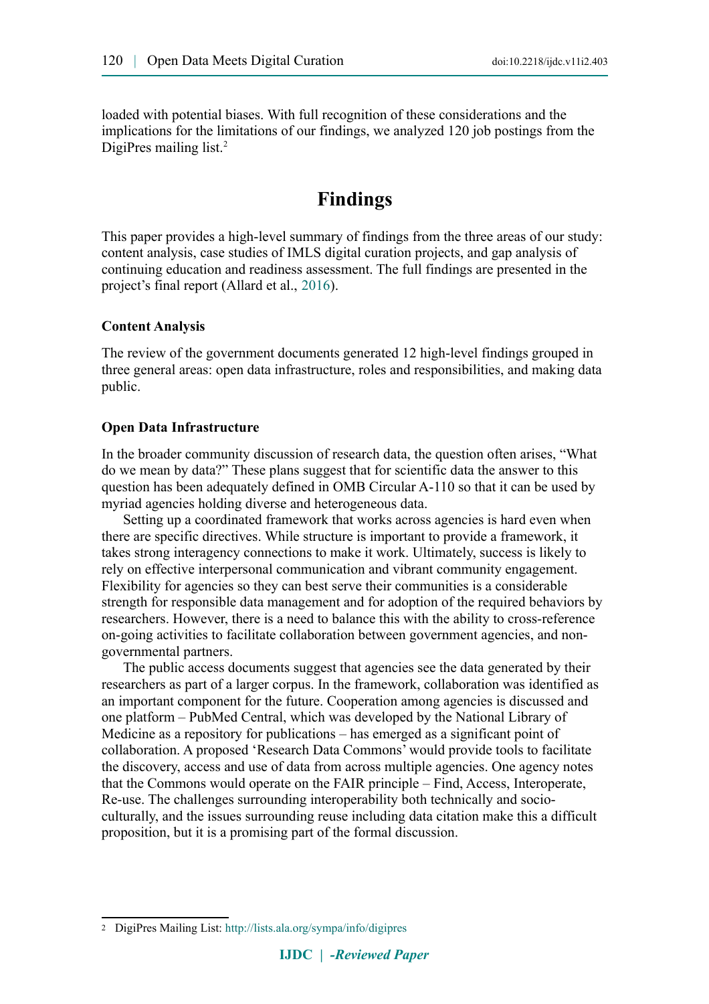loaded with potential biases. With full recognition of these considerations and the implications for the limitations of our findings, we analyzed 120 job postings from the DigiPres mailing list.<sup>[2](#page-5-0)</sup>

# **Findings**

This paper provides a high-level summary of findings from the three areas of our study: content analysis, case studies of IMLS digital curation projects, and gap analysis of continuing education and readiness assessment. The full findings are presented in the project's final report (Allard et al., [2016\)](#page-10-1).

#### **Content Analysis**

The review of the government documents generated 12 high-level findings grouped in three general areas: open data infrastructure, roles and responsibilities, and making data public.

#### **Open Data Infrastructure**

In the broader community discussion of research data, the question often arises, "What do we mean by data?" These plans suggest that for scientific data the answer to this question has been adequately defined in OMB Circular A-110 so that it can be used by myriad agencies holding diverse and heterogeneous data.

Setting up a coordinated framework that works across agencies is hard even when there are specific directives. While structure is important to provide a framework, it takes strong interagency connections to make it work. Ultimately, success is likely to rely on effective interpersonal communication and vibrant community engagement. Flexibility for agencies so they can best serve their communities is a considerable strength for responsible data management and for adoption of the required behaviors by researchers. However, there is a need to balance this with the ability to cross-reference on-going activities to facilitate collaboration between government agencies, and nongovernmental partners.

The public access documents suggest that agencies see the data generated by their researchers as part of a larger corpus. In the framework, collaboration was identified as an important component for the future. Cooperation among agencies is discussed and one platform – PubMed Central, which was developed by the National Library of Medicine as a repository for publications – has emerged as a significant point of collaboration. A proposed 'Research Data Commons' would provide tools to facilitate the discovery, access and use of data from across multiple agencies. One agency notes that the Commons would operate on the FAIR principle – Find, Access, Interoperate, Re-use. The challenges surrounding interoperability both technically and socioculturally, and the issues surrounding reuse including data citation make this a difficult proposition, but it is a promising part of the formal discussion.

<span id="page-5-0"></span><sup>2</sup> DigiPres Mailing List: <http://lists.ala.org/sympa/info/digipres>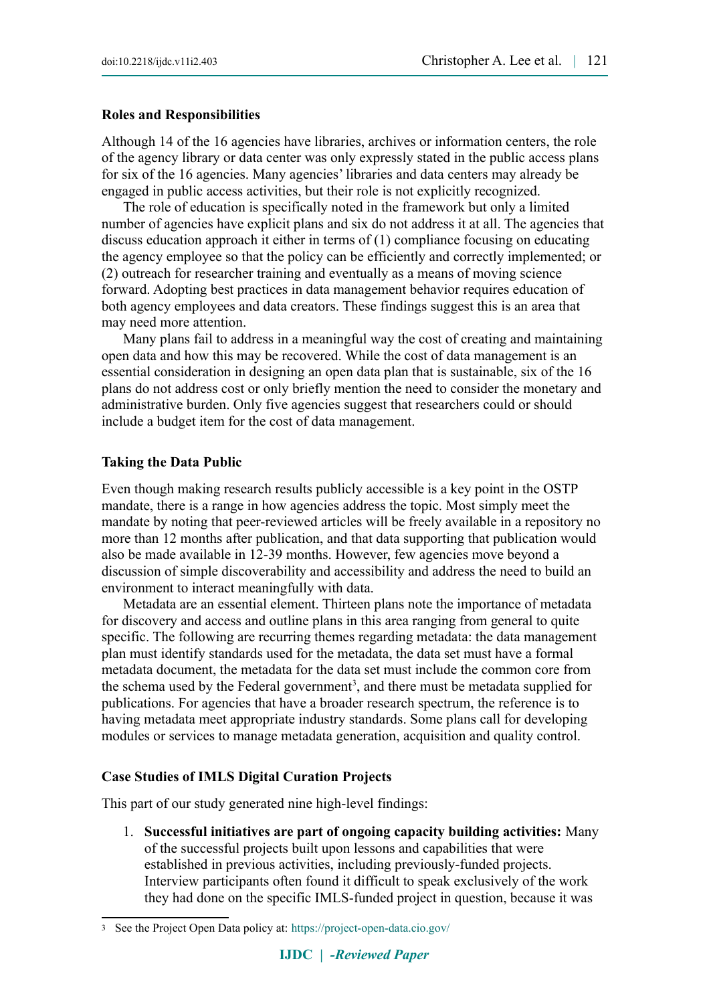### **Roles and Responsibilities**

Although 14 of the 16 agencies have libraries, archives or information centers, the role of the agency library or data center was only expressly stated in the public access plans for six of the 16 agencies. Many agencies' libraries and data centers may already be engaged in public access activities, but their role is not explicitly recognized.

The role of education is specifically noted in the framework but only a limited number of agencies have explicit plans and six do not address it at all. The agencies that discuss education approach it either in terms of (1) compliance focusing on educating the agency employee so that the policy can be efficiently and correctly implemented; or (2) outreach for researcher training and eventually as a means of moving science forward. Adopting best practices in data management behavior requires education of both agency employees and data creators. These findings suggest this is an area that may need more attention.

Many plans fail to address in a meaningful way the cost of creating and maintaining open data and how this may be recovered. While the cost of data management is an essential consideration in designing an open data plan that is sustainable, six of the 16 plans do not address cost or only briefly mention the need to consider the monetary and administrative burden. Only five agencies suggest that researchers could or should include a budget item for the cost of data management.

### **Taking the Data Public**

Even though making research results publicly accessible is a key point in the OSTP mandate, there is a range in how agencies address the topic. Most simply meet the mandate by noting that peer-reviewed articles will be freely available in a repository no more than 12 months after publication, and that data supporting that publication would also be made available in 12-39 months. However, few agencies move beyond a discussion of simple discoverability and accessibility and address the need to build an environment to interact meaningfully with data.

Metadata are an essential element. Thirteen plans note the importance of metadata for discovery and access and outline plans in this area ranging from general to quite specific. The following are recurring themes regarding metadata: the data management plan must identify standards used for the metadata, the data set must have a formal metadata document, the metadata for the data set must include the common core from the schema used by the Federal government<sup>[3](#page-6-0)</sup>, and there must be metadata supplied for publications. For agencies that have a broader research spectrum, the reference is to having metadata meet appropriate industry standards. Some plans call for developing modules or services to manage metadata generation, acquisition and quality control.

### **Case Studies of IMLS Digital Curation Projects**

This part of our study generated nine high-level findings:

1. **Successful initiatives are part of ongoing capacity building activities:** Many of the successful projects built upon lessons and capabilities that were established in previous activities, including previously-funded projects. Interview participants often found it difficult to speak exclusively of the work they had done on the specific IMLS-funded project in question, because it was

<span id="page-6-0"></span><sup>3</sup> See the Project Open Data policy at: <https://project-open-data.cio.gov/>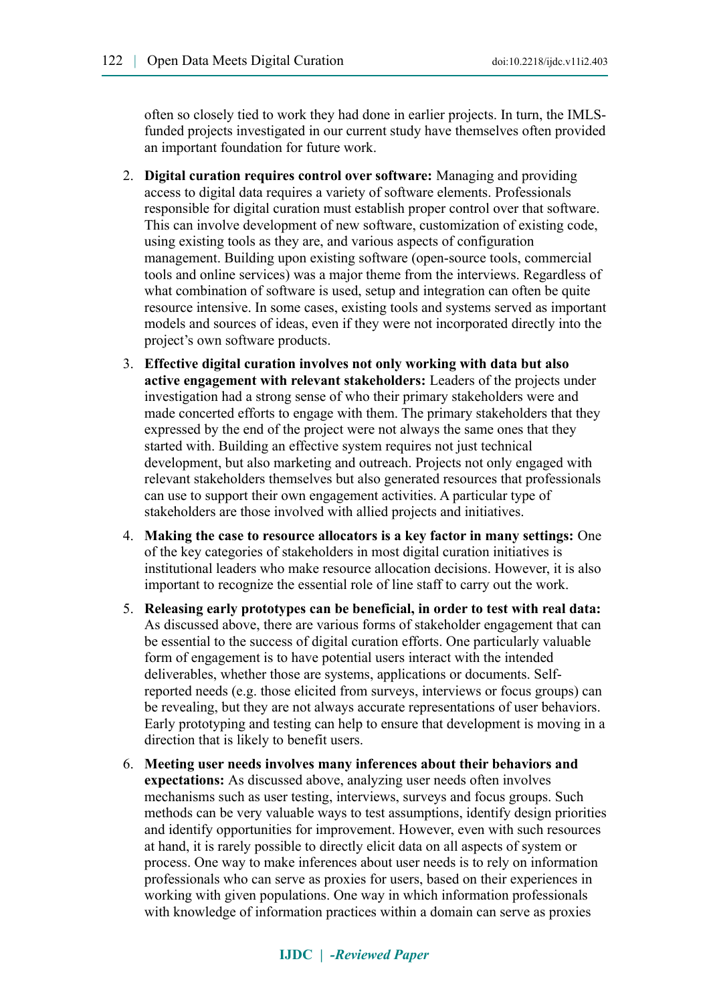often so closely tied to work they had done in earlier projects. In turn, the IMLSfunded projects investigated in our current study have themselves often provided an important foundation for future work.

- 2. **Digital curation requires control over software:** Managing and providing access to digital data requires a variety of software elements. Professionals responsible for digital curation must establish proper control over that software. This can involve development of new software, customization of existing code, using existing tools as they are, and various aspects of configuration management. Building upon existing software (open-source tools, commercial tools and online services) was a major theme from the interviews. Regardless of what combination of software is used, setup and integration can often be quite resource intensive. In some cases, existing tools and systems served as important models and sources of ideas, even if they were not incorporated directly into the project's own software products.
- 3. **Effective digital curation involves not only working with data but also active engagement with relevant stakeholders:** Leaders of the projects under investigation had a strong sense of who their primary stakeholders were and made concerted efforts to engage with them. The primary stakeholders that they expressed by the end of the project were not always the same ones that they started with. Building an effective system requires not just technical development, but also marketing and outreach. Projects not only engaged with relevant stakeholders themselves but also generated resources that professionals can use to support their own engagement activities. A particular type of stakeholders are those involved with allied projects and initiatives.
- 4. **Making the case to resource allocators is a key factor in many settings:** One of the key categories of stakeholders in most digital curation initiatives is institutional leaders who make resource allocation decisions. However, it is also important to recognize the essential role of line staff to carry out the work.
- 5. **Releasing early prototypes can be beneficial, in order to test with real data:**  As discussed above, there are various forms of stakeholder engagement that can be essential to the success of digital curation efforts. One particularly valuable form of engagement is to have potential users interact with the intended deliverables, whether those are systems, applications or documents. Selfreported needs (e.g. those elicited from surveys, interviews or focus groups) can be revealing, but they are not always accurate representations of user behaviors. Early prototyping and testing can help to ensure that development is moving in a direction that is likely to benefit users.
- 6. **Meeting user needs involves many inferences about their behaviors and expectations:** As discussed above, analyzing user needs often involves mechanisms such as user testing, interviews, surveys and focus groups. Such methods can be very valuable ways to test assumptions, identify design priorities and identify opportunities for improvement. However, even with such resources at hand, it is rarely possible to directly elicit data on all aspects of system or process. One way to make inferences about user needs is to rely on information professionals who can serve as proxies for users, based on their experiences in working with given populations. One way in which information professionals with knowledge of information practices within a domain can serve as proxies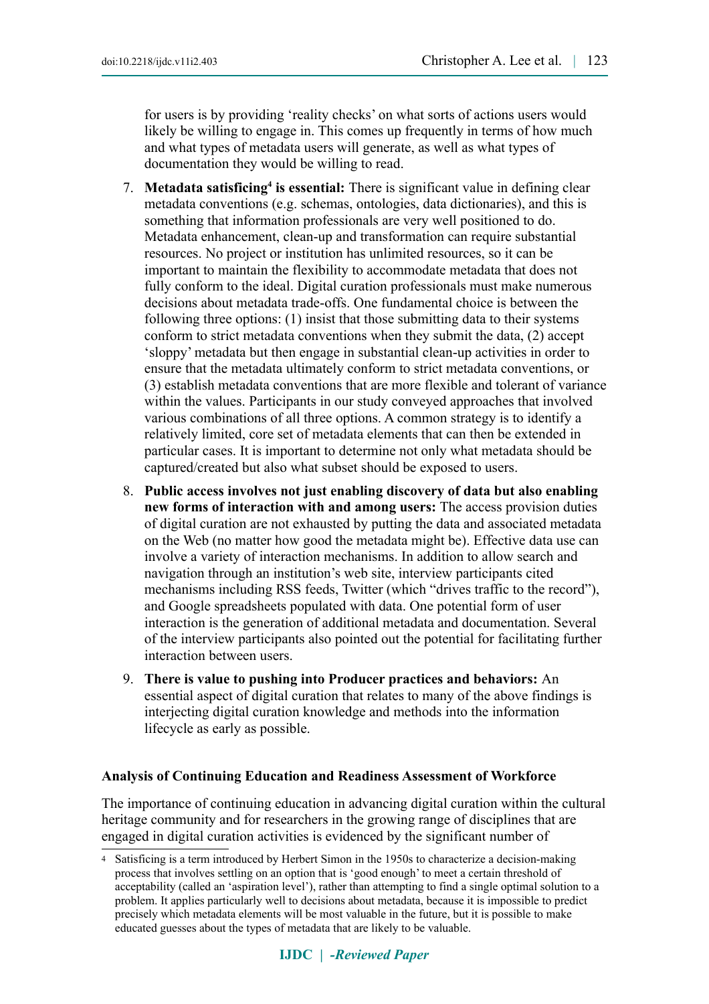for users is by providing 'reality checks' on what sorts of actions users would likely be willing to engage in. This comes up frequently in terms of how much and what types of metadata users will generate, as well as what types of documentation they would be willing to read.

- 7. Metadata satisficing<sup>[4](#page-8-0)</sup> is essential: There is significant value in defining clear metadata conventions (e.g. schemas, ontologies, data dictionaries), and this is something that information professionals are very well positioned to do. Metadata enhancement, clean-up and transformation can require substantial resources. No project or institution has unlimited resources, so it can be important to maintain the flexibility to accommodate metadata that does not fully conform to the ideal. Digital curation professionals must make numerous decisions about metadata trade-offs. One fundamental choice is between the following three options: (1) insist that those submitting data to their systems conform to strict metadata conventions when they submit the data, (2) accept 'sloppy' metadata but then engage in substantial clean-up activities in order to ensure that the metadata ultimately conform to strict metadata conventions, or (3) establish metadata conventions that are more flexible and tolerant of variance within the values. Participants in our study conveyed approaches that involved various combinations of all three options. A common strategy is to identify a relatively limited, core set of metadata elements that can then be extended in particular cases. It is important to determine not only what metadata should be captured/created but also what subset should be exposed to users.
- 8. **Public access involves not just enabling discovery of data but also enabling new forms of interaction with and among users:** The access provision duties of digital curation are not exhausted by putting the data and associated metadata on the Web (no matter how good the metadata might be). Effective data use can involve a variety of interaction mechanisms. In addition to allow search and navigation through an institution's web site, interview participants cited mechanisms including RSS feeds, Twitter (which "drives traffic to the record"), and Google spreadsheets populated with data. One potential form of user interaction is the generation of additional metadata and documentation. Several of the interview participants also pointed out the potential for facilitating further interaction between users.
- 9. **There is value to pushing into Producer practices and behaviors:** An essential aspect of digital curation that relates to many of the above findings is interjecting digital curation knowledge and methods into the information lifecycle as early as possible.

### **Analysis of Continuing Education and Readiness Assessment of Workforce**

The importance of continuing education in advancing digital curation within the cultural heritage community and for researchers in the growing range of disciplines that are engaged in digital curation activities is evidenced by the significant number of

<span id="page-8-0"></span><sup>4</sup> Satisficing is a term introduced by Herbert Simon in the 1950s to characterize a decision-making process that involves settling on an option that is 'good enough' to meet a certain threshold of acceptability (called an 'aspiration level'), rather than attempting to find a single optimal solution to a problem. It applies particularly well to decisions about metadata, because it is impossible to predict precisely which metadata elements will be most valuable in the future, but it is possible to make educated guesses about the types of metadata that are likely to be valuable.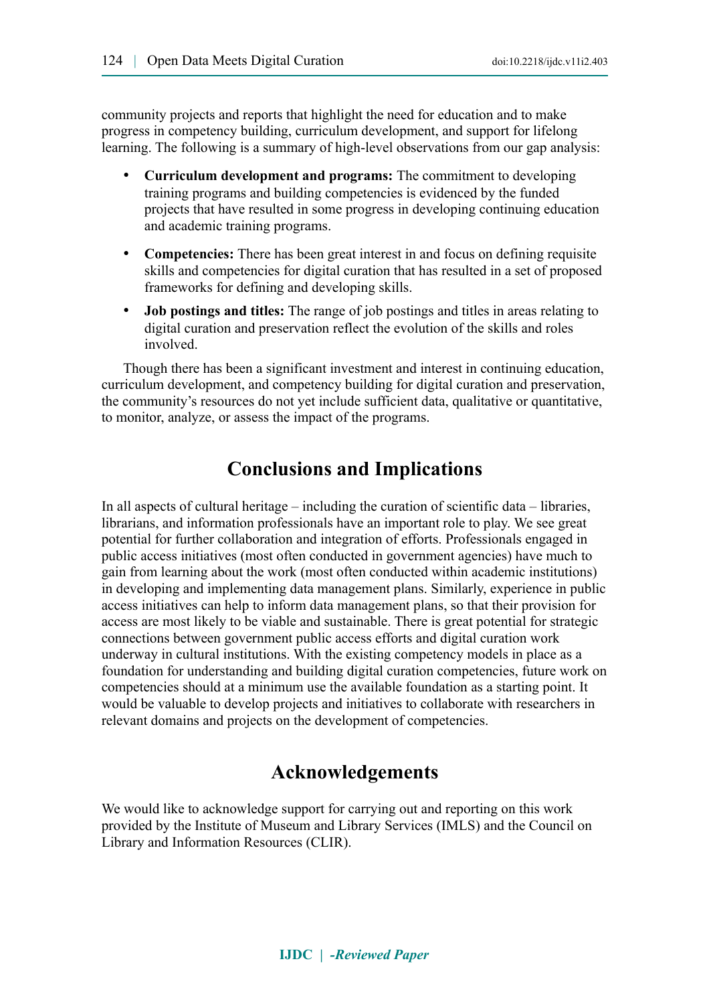community projects and reports that highlight the need for education and to make progress in competency building, curriculum development, and support for lifelong learning. The following is a summary of high-level observations from our gap analysis:

- **Curriculum development and programs:** The commitment to developing training programs and building competencies is evidenced by the funded projects that have resulted in some progress in developing continuing education and academic training programs.
- **Competencies:** There has been great interest in and focus on defining requisite skills and competencies for digital curation that has resulted in a set of proposed frameworks for defining and developing skills.
- **Job postings and titles:** The range of job postings and titles in areas relating to digital curation and preservation reflect the evolution of the skills and roles involved.

Though there has been a significant investment and interest in continuing education, curriculum development, and competency building for digital curation and preservation, the community's resources do not yet include sufficient data, qualitative or quantitative, to monitor, analyze, or assess the impact of the programs.

# **Conclusions and Implications**

In all aspects of cultural heritage – including the curation of scientific data – libraries, librarians, and information professionals have an important role to play. We see great potential for further collaboration and integration of efforts. Professionals engaged in public access initiatives (most often conducted in government agencies) have much to gain from learning about the work (most often conducted within academic institutions) in developing and implementing data management plans. Similarly, experience in public access initiatives can help to inform data management plans, so that their provision for access are most likely to be viable and sustainable. There is great potential for strategic connections between government public access efforts and digital curation work underway in cultural institutions. With the existing competency models in place as a foundation for understanding and building digital curation competencies, future work on competencies should at a minimum use the available foundation as a starting point. It would be valuable to develop projects and initiatives to collaborate with researchers in relevant domains and projects on the development of competencies.

# **Acknowledgements**

We would like to acknowledge support for carrying out and reporting on this work provided by the Institute of Museum and Library Services (IMLS) and the Council on Library and Information Resources (CLIR).